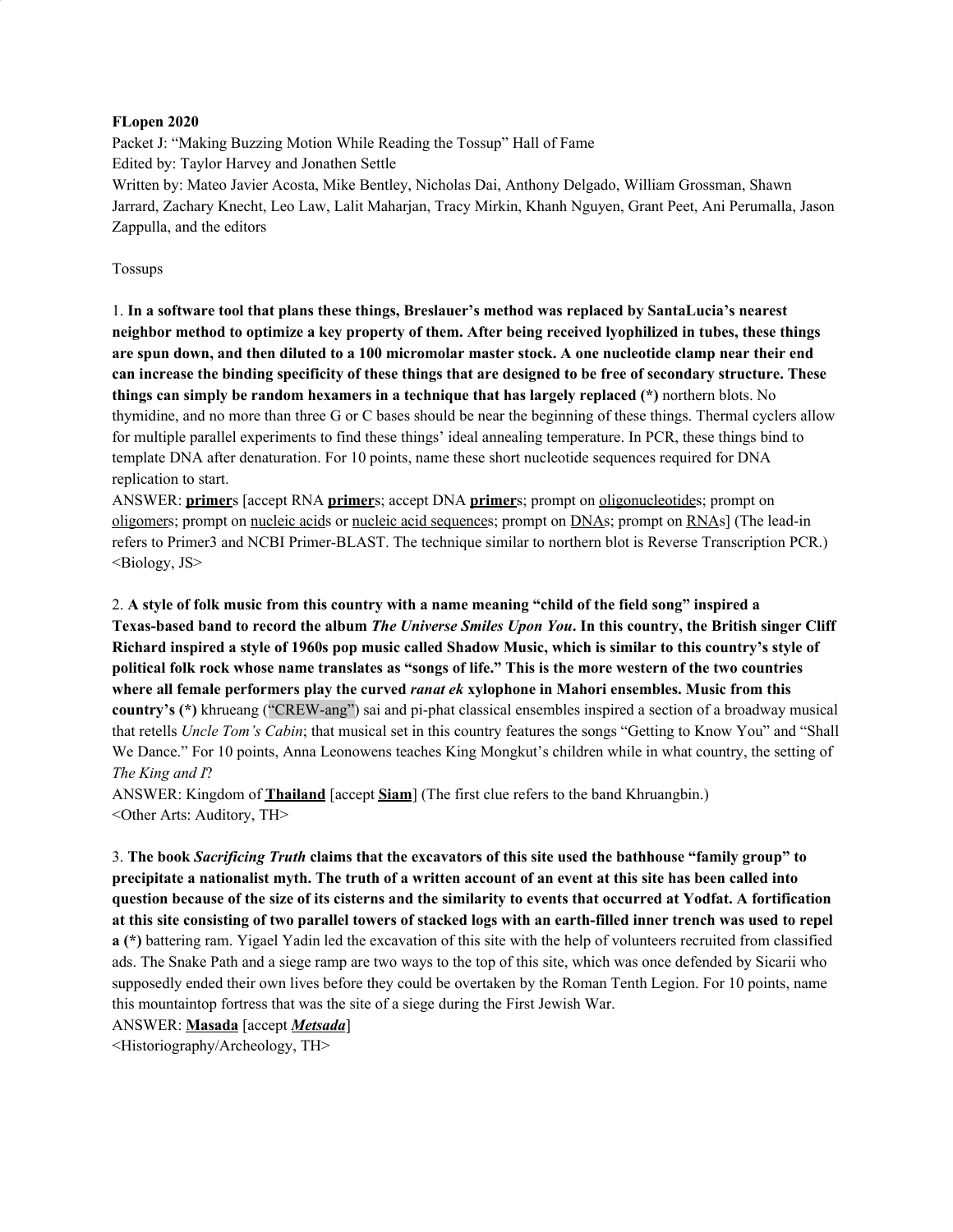#### **FLopen 2020**

Packet J: "Making Buzzing Motion While Reading the Tossup" Hall of Fame Edited by: Taylor Harvey and Jonathen Settle Written by: Mateo Javier Acosta, Mike Bentley, Nicholas Dai, Anthony Delgado, William Grossman, Shawn Jarrard, Zachary Knecht, Leo Law, Lalit Maharjan, Tracy Mirkin, Khanh Nguyen, Grant Peet, Ani Perumalla, Jason Zappulla, and the editors

#### Tossups

1. **In a software tool that plans these things, Breslauer's method was replaced by SantaLucia's nearest** neighbor method to optimize a key property of them. After being received lyophilized in tubes, these things are spun down, and then diluted to a 100 micromolar master stock. A one nucleotide clamp near their end can increase the binding specificity of these things that are designed to be free of secondary structure. These **things can simply be random hexamers in a technique that has largely replaced (\*)** northern blots. No thymidine, and no more than three G or C bases should be near the beginning of these things. Thermal cyclers allow for multiple parallel experiments to find these things' ideal annealing temperature. In PCR, these things bind to template DNA after denaturation. For 10 points, name these short nucleotide sequences required for DNA replication to start.

ANSWER: **primer**s [accept RNA **primer**s; accept DNA **primer**s; prompt on oligonucleotides; prompt on oligomers; prompt on nucleic acids or nucleic acid sequences; prompt on DNAs; prompt on RNAs] (The lead-in refers to Primer3 and NCBI Primer-BLAST. The technique similar to northern blot is Reverse Transcription PCR.) <Biology, JS>

2. A style of folk music from this country with a name meaning "child of the field song" inspired a Texas-based band to record the album The Universe Smiles Upon You. In this country, the British singer Cliff Richard inspired a style of 1960s pop music called Shadow Music, which is similar to this country's style of political folk rock whose name translates as "songs of life." This is the more western of the two countries **where all female performers play the curved** *ranat ek* **xylophone in Mahori ensembles. Music from this country's (\*)** khrueang ("CREW-ang") sai and pi-phat classical ensembles inspired a section of a broadway musical that retells *Uncle Tom's Cabin*; that musical set in this country features the songs "Getting to Know You" and "Shall We Dance." For 10 points, Anna Leonowens teaches King Mongkut's children while in what country, the setting of *The King and I*?

ANSWER: Kingdom of **Thailand** [accept **Siam**] (The first clue refers to the band Khruangbin.) <Other Arts: Auditory, TH>

3. The book Sacrificing Truth claims that the excavators of this site used the bathhouse "family group" to precipitate a nationalist myth. The truth of a written account of an event at this site has been called into question because of the size of its cisterns and the similarity to events that occurred at Yodfat. A fortification at this site consisting of two parallel towers of stacked logs with an earth-filled inner trench was used to repel **a (\*)** battering ram. Yigael Yadin led the excavation of this site with the help of volunteers recruited from classified ads. The Snake Path and a siege ramp are two ways to the top of this site, which was once defended by Sicarii who supposedly ended their own lives before they could be overtaken by the Roman Tenth Legion. For 10 points, name this mountaintop fortress that was the site of a siege during the First Jewish War.

ANSWER: **Masada** [accept *Metsada*]

<Historiography/Archeology, TH>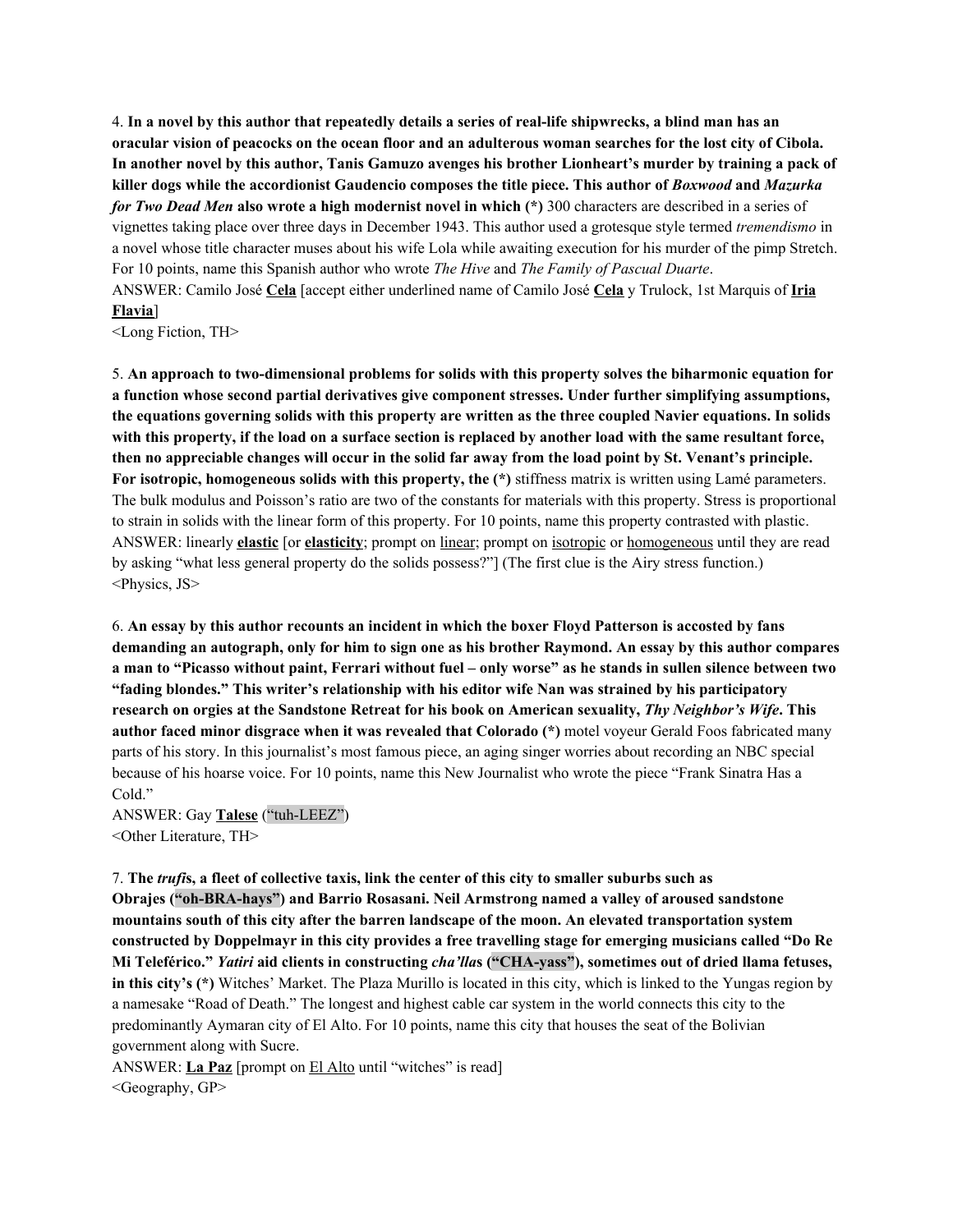4. In a novel by this author that repeatedly details a series of real-life shipwrecks, a blind man has an oracular vision of peacocks on the ocean floor and an adulterous woman searches for the lost city of Cibola. In another novel by this author, Tanis Gamuzo avenges his brother Lionheart's murder by training a pack of **killer dogs while the accordionist Gaudencio composes the title piece. This author of** *Boxwood* **and** *Mazurka for Two Dead Men* **also wrote a high modernist novel in which (\*)** 300 characters are described in a series of vignettes taking place over three days in December 1943. This author used a grotesque style termed *tremendismo* in a novel whose title character muses about his wife Lola while awaiting execution for his murder of the pimp Stretch. For 10 points, name this Spanish author who wrote *The Hive* and *The Family of Pascual Duarte*. ANSWER: Camilo José **Cela** [accept either underlined name of Camilo José **Cela** y Trulock, 1st Marquis of **Iria Flavia**]

<Long Fiction, TH>

5. **An approach to two-dimensional problems for solids with this property solves the biharmonic equation for a function whose second partial derivatives give component stresses. Under further simplifying assumptions,** the equations governing solids with this property are written as the three coupled Navier equations. In solids with this property, if the load on a surface section is replaced by another load with the same resultant force, then no appreciable changes will occur in the solid far away from the load point by St. Venant's principle. **For isotropic, homogeneous solids with this property, the (\*)** stiffness matrix is written using Lamé parameters. The bulk modulus and Poisson's ratio are two of the constants for materials with this property. Stress is proportional to strain in solids with the linear form of this property. For 10 points, name this property contrasted with plastic. ANSWER: linearly **elastic** [or **elasticity**; prompt on linear; prompt on isotropic or homogeneous until they are read by asking "what less general property do the solids possess?"] (The first clue is the Airy stress function.) <Physics, JS>

6. An essay by this author recounts an incident in which the boxer Floyd Patterson is accosted by fans demanding an autograph, only for him to sign one as his brother Raymond. An essay by this author compares a man to "Picasso without paint, Ferrari without fuel – only worse" as he stands in sullen silence between two **"fading blondes." This writer's relationship with his editor wife Nan was strained by his participatory** research on orgies at the Sandstone Retreat for his book on American sexuality, Thy Neighbor's Wife. This **author faced minor disgrace when it was revealed that Colorado (\*)** motel voyeur Gerald Foos fabricated many parts of his story. In this journalist's most famous piece, an aging singer worries about recording an NBC special because of his hoarse voice. For 10 points, name this New Journalist who wrote the piece "Frank Sinatra Has a Cold."

ANSWER: Gay **Talese** ("tuh-LEEZ") <Other Literature, TH>

7. The truffs, a fleet of collective taxis, link the center of this city to smaller suburbs such as **Obrajes ("oh-BRA-hays") and Barrio Rosasani. Neil Armstrong named a valley of aroused sandstone mountains south of this city after the barren landscape of the moon. An elevated transportation system** constructed by Doppelmayr in this city provides a free travelling stage for emerging musicians called "Do Re **Mi Teleférico."** *Yatiri* **aid clients in constructing** *cha'lla***s ("CHA-yass"), sometimes out of dried llama fetuses, in this city's (\*)** Witches' Market. The Plaza Murillo is located in this city, which is linked to the Yungas region by a namesake "Road of Death." The longest and highest cable car system in the world connects this city to the predominantly Aymaran city of El Alto. For 10 points, name this city that houses the seat of the Bolivian government along with Sucre.

ANSWER: **La Paz** [prompt on El Alto until "witches" is read] <Geography, GP>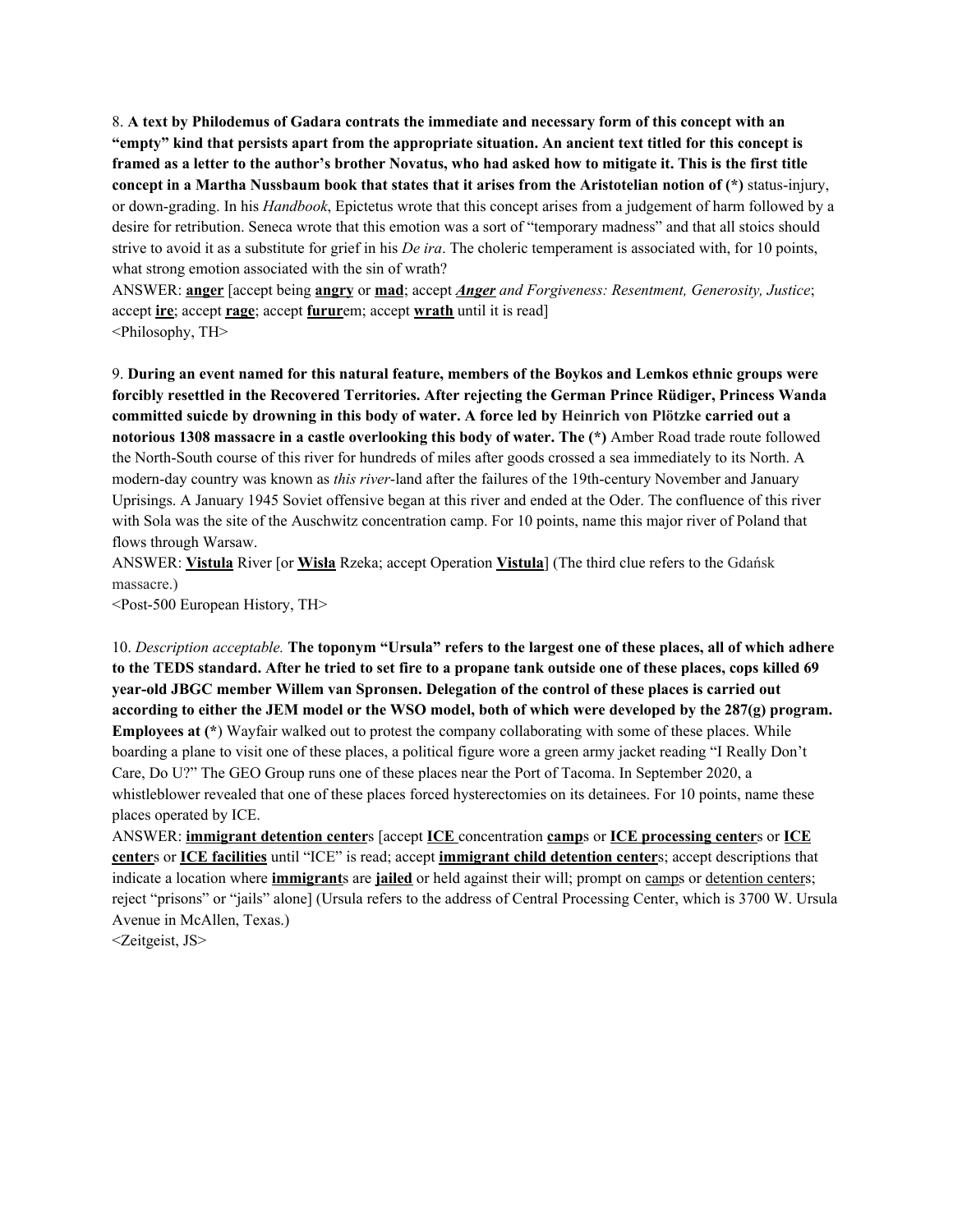8. **A text by Philodemus of Gadara contrats the immediate and necessary form of this concept with an** "empty" kind that persists apart from the appropriate situation. An ancient text titled for this concept is framed as a letter to the author's brother Novatus, who had asked how to mitigate it. This is the first title concept in a Martha Nussbaum book that states that it arises from the Aristotelian notion of  $(*)$  status-injury, or down-grading. In his *Handbook*, Epictetus wrote that this concept arises from a judgement of harm followed by a desire for retribution. Seneca wrote that this emotion was a sort of "temporary madness" and that all stoics should strive to avoid it as a substitute for grief in his *De ira*. The choleric temperament is associated with, for 10 points, what strong emotion associated with the sin of wrath?

ANSWER: **anger** [accept being **angry** or **mad**; accept *Anger and Forgiveness: Resentment, Generosity, Justice*; accept **ire**; accept **rage**; accept **furur**em; accept **wrath** until it is read] <Philosophy, TH>

9. **During an event named for this natural feature, members of the Boykos and Lemkos ethnic groups were forcibly resettled in the Recovered Territories. After rejecting the German Prince Rüdiger, Princess Wanda** committed suicde by drowning in this body of water. A force led by Heinrich von Plötzke carried out a **notorious 1308 massacre in a castle overlooking this body of water. The (\*)** Amber Road trade route followed the North-South course of this river for hundreds of miles after goods crossed a sea immediately to its North. A modern-day country was known as *this river*-land after the failures of the 19th-century November and January Uprisings. A January 1945 Soviet offensive began at this river and ended at the Oder. The confluence of this river with Sola was the site of the Auschwitz concentration camp. For 10 points, name this major river of Poland that flows through Warsaw.

ANSWER: **Vistula** River [or **Wisła** Rzeka; accept Operation **Vistula**] (The third clue refers to the Gdańsk massacre.)

<Post-500 European History, TH>

10. Description acceptable. The toponym "Ursula" refers to the largest one of these places, all of which adhere to the TEDS standard. After he tried to set fire to a propane tank outside one of these places, cops killed 69 **year-old JBGC member Willem van Spronsen. Delegation of the control of these places is carried out** according to either the JEM model or the WSO model, both of which were developed by the 287(g) program. **Employees at (\***) Wayfair walked out to protest the company collaborating with some of these places. While boarding a plane to visit one of these places, a political figure wore a green army jacket reading "I Really Don't Care, Do U?" The GEO Group runs one of these places near the Port of Tacoma. In September 2020, a whistleblower revealed that one of these places forced hysterectomies on its detainees. For 10 points, name these places operated by ICE.

ANSWER: **immigrant detention center**s [accept **ICE** concentration **camp**s or **ICE processing center**s or **ICE center**s or **ICE facilities** until "ICE" is read; accept **immigrant child detention center**s; accept descriptions that indicate a location where **immigrant**s are **jailed** or held against their will; prompt on camps or detention centers; reject "prisons" or "jails" alone] (Ursula refers to the address of Central Processing Center, which is 3700 W. Ursula Avenue in McAllen, Texas.)

<Zeitgeist, JS>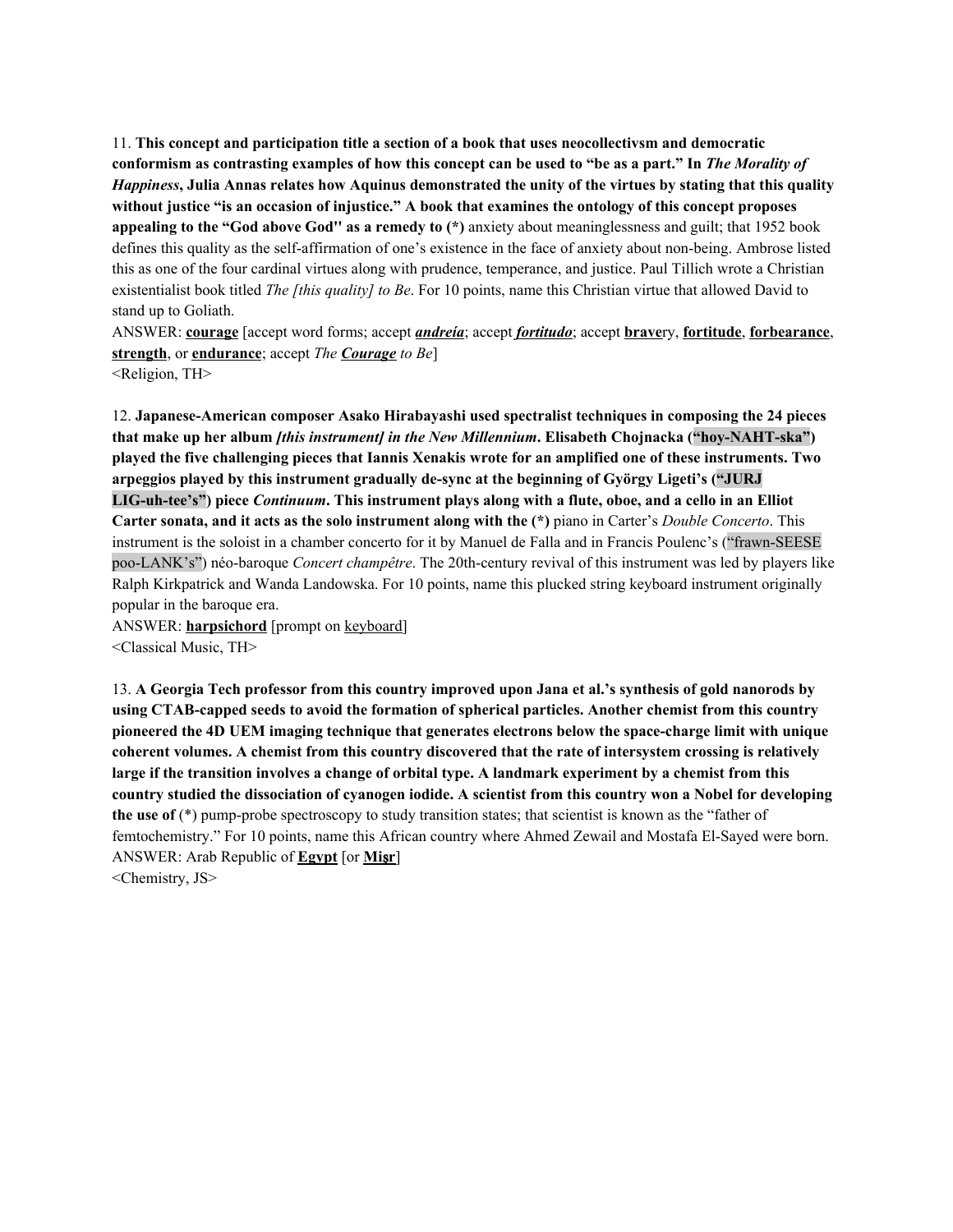11. **This concept and participation title a section of a book that uses neocollectivsm and democratic** conformism as contrasting examples of how this concept can be used to "be as a part." In The Morality of *Happiness*, Julia Annas relates how Aquinus demonstrated the unity of the virtues by stating that this quality **without justice "is an occasion of injustice." A book that examines the ontology of this concept proposes appealing to the "God above God'' as a remedy to (\*)** anxiety about meaninglessness and guilt; that 1952 book defines this quality as the self-affirmation of one's existence in the face of anxiety about non-being. Ambrose listed this as one of the four cardinal virtues along with prudence, temperance, and justice. Paul Tillich wrote a Christian existentialist book titled *The [this quality] to Be*. For 10 points, name this Christian virtue that allowed David to stand up to Goliath.

ANSWER: **courage** [accept word forms; accept *andreía*; accept *fortitudo*; accept **brave**ry, **fortitude**, **forbearance**, **strength**, or **endurance**; accept *The Courage to Be*] <Religion, TH>

12. **Japanese-American composer Asako Hirabayashi used spectralist techniques in composing the 24 pieces that make up her album** *[this instrument] in the New Millennium***. Elisabeth Chojnacka ("hoy-NAHT-ska")** played the five challenging pieces that Iannis Xenakis wrote for an amplified one of these instruments. Two **arpeggios played by this instrument gradually de-sync at the beginning of György Ligeti's ("JURJ** LIG-uh-tee's") piece Continuum. This instrument plays along with a flute, oboe, and a cello in an Elliot **Carter sonata, and it acts as the solo instrument along with the (\*)** piano in Carter's *Double Concerto*. This instrument is the soloist in a chamber concerto for it by Manuel de Falla and in Francis Poulenc's ("frawn-SEESE poo-LANK's") néo-baroque *Concert champêtre*. The 20th-century revival of this instrument was led by players like Ralph Kirkpatrick and Wanda Landowska. For 10 points, name this plucked string keyboard instrument originally popular in the baroque era.

ANSWER: **harpsichord** [prompt on keyboard] <Classical Music, TH>

13. **A Georgia Tech professor from this country improved upon Jana et al.'s synthesis of gold nanorods by using CTAB-capped seeds to avoid the formation of spherical particles. Another chemist from this country pioneered the 4D UEM imaging technique that generates electrons below the space-charge limit with unique coherent volumes. A chemist from this country discovered that the rate of intersystem crossing is relatively** large if the transition involves a change of orbital type. A landmark experiment by a chemist from this country studied the dissociation of cyanogen iodide. A scientist from this country won a Nobel for developing **the use of** (\*) pump-probe spectroscopy to study transition states; that scientist is known as the "father of femtochemistry." For 10 points, name this African country where Ahmed Zewail and Mostafa El-Sayed were born. ANSWER: Arab Republic of **Egypt** [or **Mi**ṣ**r**] <Chemistry, JS>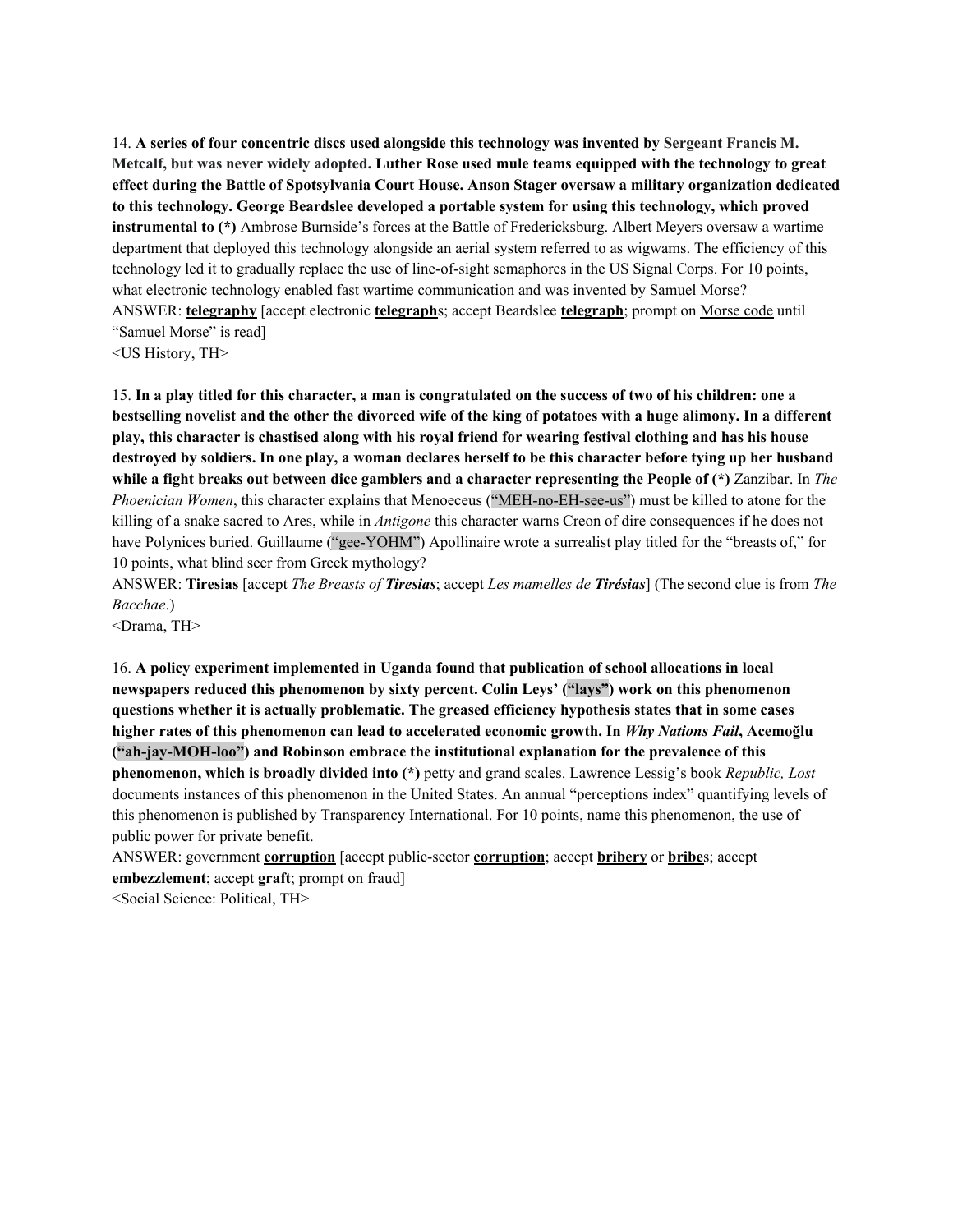14. **A series of four concentric discs used alongside this technology was invented by Sergeant Francis M. Metcalf, but was never widely adopted. Luther Rose used mule teams equipped with the technology to great effect during the Battle of Spotsylvania Court House. Anson Stager oversaw a military organization dedicated to this technology. George Beardslee developed a portable system for using this technology, which proved instrumental to (\*)** Ambrose Burnside's forces at the Battle of Fredericksburg. Albert Meyers oversaw a wartime department that deployed this technology alongside an aerial system referred to as wigwams. The efficiency of this technology led it to gradually replace the use of line-of-sight semaphores in the US Signal Corps. For 10 points, what electronic technology enabled fast wartime communication and was invented by Samuel Morse? ANSWER: **telegraphy** [accept electronic **telegraph**s; accept Beardslee **telegraph**; prompt on Morse code until "Samuel Morse" is read]

<US History, TH>

15. In a play titled for this character, a man is congratulated on the success of two of his children: one a bestselling novelist and the other the divorced wife of the king of potatoes with a huge alimony. In a different play, this character is chastised along with his royal friend for wearing festival clothing and has his house destroved by soldiers. In one play, a woman declares herself to be this character before tying up her husband while a fight breaks out between dice gamblers and a character representing the People of  $(*)$  Zanzibar. In The *Phoenician Women*, this character explains that Menoeceus ("MEH-no-EH-see-us") must be killed to atone for the killing of a snake sacred to Ares, while in *Antigone* this character warns Creon of dire consequences if he does not have Polynices buried. Guillaume ("gee-YOHM") Apollinaire wrote a surrealist play titled for the "breasts of," for 10 points, what blind seer from Greek mythology?

ANSWER: **Tiresias** [accept *The Breasts of Tiresias*; accept *Les mamelles de Tirésias*] (The second clue is from *The Bacchae*.)

<Drama, TH>

16. **A policy experiment implemented in Uganda found that publication of school allocations in local newspapers reduced this phenomenon by sixty percent. Colin Leys' ("lays") work on this phenomenon questions whether it is actually problematic. The greased efficiency hypothesis states that in some cases higher rates of this phenomenon can lead to accelerated economic growth. In** *Why Nations Fail***, Acemoğlu ("ah-jay-MOH-loo") and Robinson embrace the institutional explanation for the prevalence of this phenomenon, which is broadly divided into (\*)** petty and grand scales. Lawrence Lessig's book *Republic, Lost* documents instances of this phenomenon in the United States. An annual "perceptions index" quantifying levels of this phenomenon is published by Transparency International. For 10 points, name this phenomenon, the use of public power for private benefit.

ANSWER: government **corruption** [accept public-sector **corruption**; accept **bribery** or **bribe**s; accept **embezzlement**; accept **graft**; prompt on fraud]

<Social Science: Political, TH>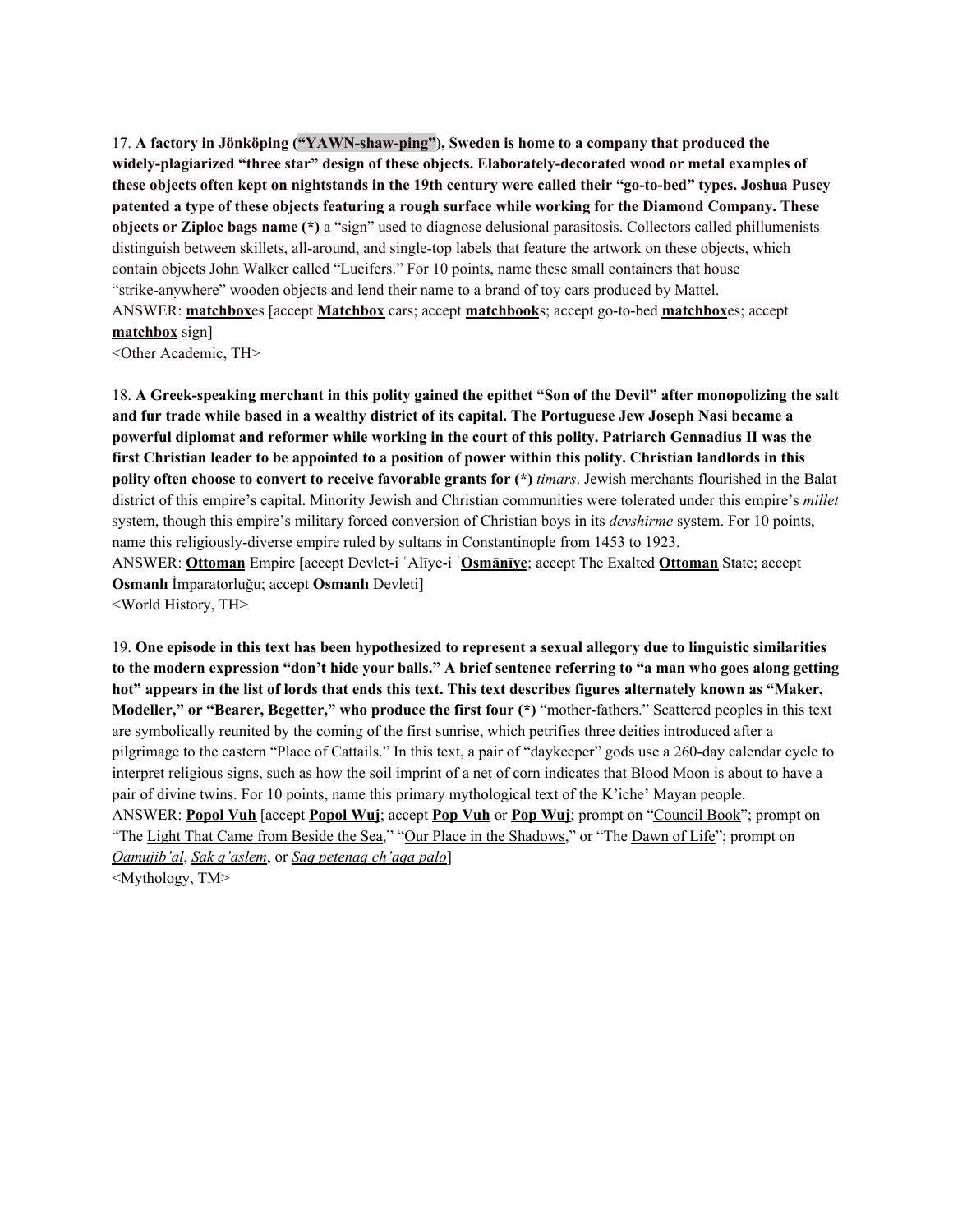17. **A factory in Jönköping ("YAWN-shaw-ping"), Sweden is home to a company that produced the widely-plagiarized "three star" design of these objects. Elaborately-decorated wood or metal examples of** these objects often kept on nightstands in the 19th century were called their "go-to-bed" types. Joshua Pusey **patented a type of these objects featuring a rough surface while working for the Diamond Company. These objects or Ziploc bags name (\*)** a "sign" used to diagnose delusional parasitosis. Collectors called phillumenists distinguish between skillets, all-around, and single-top labels that feature the artwork on these objects, which contain objects John Walker called "Lucifers." For 10 points, name these small containers that house "strike-anywhere" wooden objects and lend their name to a brand of toy cars produced by Mattel. ANSWER: **matchbox**es [accept **Matchbox** cars; accept **matchbook**s; accept go-to-bed **matchbox**es; accept **matchbox** sign]

<Other Academic, TH>

18. A Greek-speaking merchant in this polity gained the epithet "Son of the Devil" after monopolizing the salt and fur trade while based in a wealthy district of its capital. The Portuguese Jew Joseph Nasi became a **powerful diplomat and reformer while working in the court of this polity. Patriarch Gennadius II was the** first Christian leader to be appointed to a position of power within this polity. Christian landlords in this **polity often choose to convert to receive favorable grants for (\*)** *timars*. Jewish merchants flourished in the Balat district of this empire's capital. Minority Jewish and Christian communities were tolerated under this empire's *millet* system, though this empire's military forced conversion of Christian boys in its *devshirme* system. For 10 points, name this religiously-diverse empire ruled by sultans in Constantinople from 1453 to 1923. ANSWER: **Ottoman** Empire [accept Devlet-i ʿAlīye-i ʿ**Osmānīye**; accept The Exalted **Ottoman** State; accept **Osmanlı** İmparatorluğu; accept **Osmanlı** Devleti] <World History, TH>

19. One episode in this text has been hypothesized to represent a sexual allegory due to linguistic similarities to the modern expression "don't hide your balls." A brief sentence referring to "a man who goes along getting hot" appears in the list of lords that ends this text. This text describes figures alternately known as "Maker, **Modeller," or "Bearer, Begetter," who produce the first four (\*)** "mother-fathers." Scattered peoples in this text are symbolically reunited by the coming of the first sunrise, which petrifies three deities introduced after a pilgrimage to the eastern "Place of Cattails." In this text, a pair of "daykeeper" gods use a 260-day calendar cycle to interpret religious signs, such as how the soil imprint of a net of corn indicates that Blood Moon is about to have a pair of divine twins. For 10 points, name this primary mythological text of the K'iche' Mayan people. ANSWER: **Popol Vuh** [accept **Popol Wuj**; accept **Pop Vuh** or **Pop Wuj**; prompt on "Council Book"; prompt on "The Light That Came from Beside the Sea," "Our Place in the Shadows," or "The Dawn of Life"; prompt on *Qamujib'al*, *Sak q'aslem*, or *Saq petenaq ch'aqa palo*] <Mythology, TM>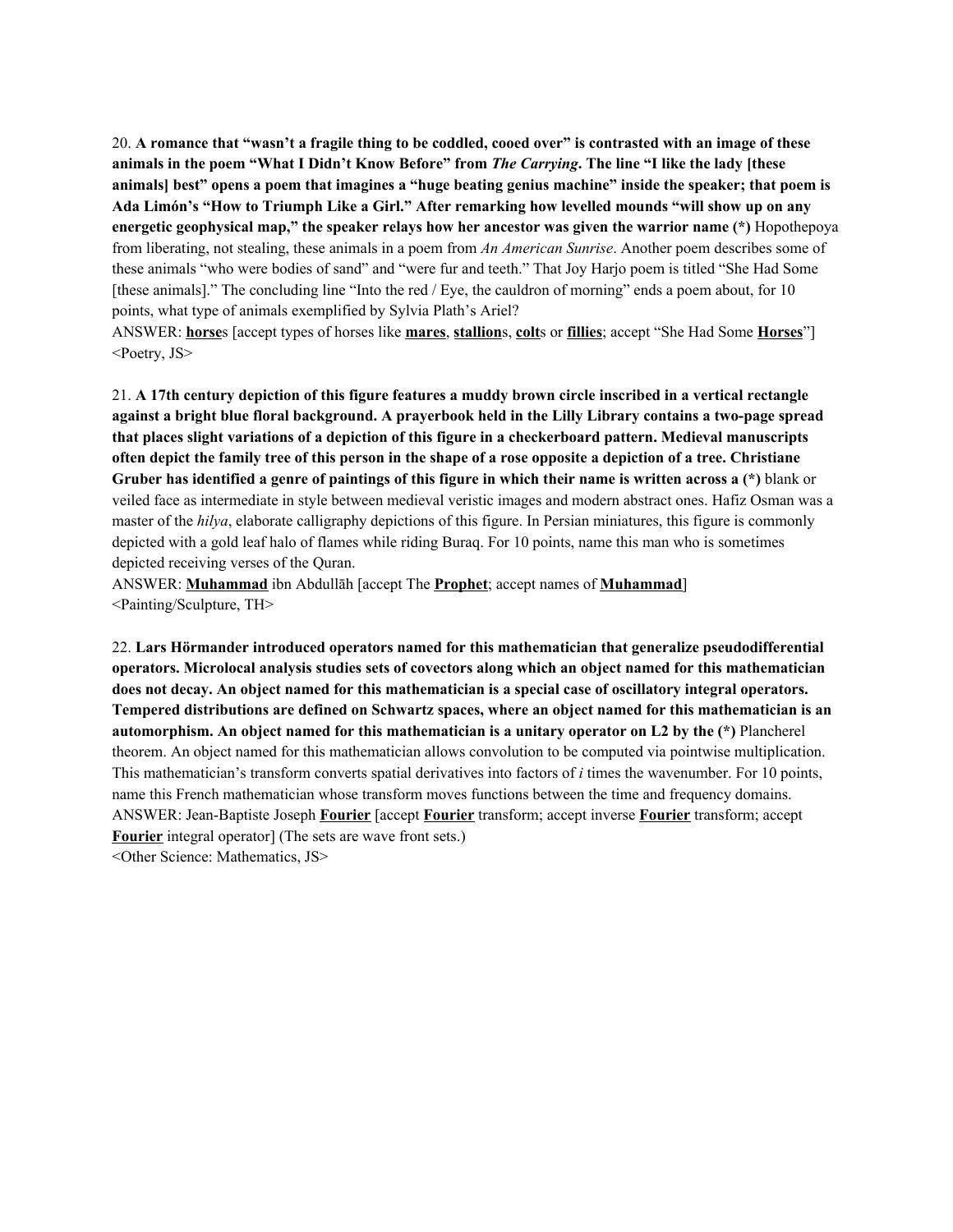20. A romance that "wasn't a fragile thing to be coddled, cooed over" is contrasted with an image of these animals in the poem "What I Didn't Know Before" from *The Carrying*. The line "I like the lady [these animals best" opens a poem that imagines a "huge beating genius machine" inside the speaker; that poem is **Ada Limón's "How to Triumph Like a Girl." After remarking how levelled mounds "will show up on any energetic geophysical map," the speaker relays how her ancestor was given the warrior name (\*)** Hopothepoya from liberating, not stealing, these animals in a poem from *An American Sunrise*. Another poem describes some of these animals "who were bodies of sand" and "were fur and teeth." That Joy Harjo poem is titled "She Had Some [these animals]." The concluding line "Into the red / Eye, the cauldron of morning" ends a poem about, for 10 points, what type of animals exemplified by Sylvia Plath's Ariel?

ANSWER: **horse**s [accept types of horses like **mares**, **stallion**s, **colt**s or **fillies**; accept "She Had Some **Horses**"] <Poetry, JS>

21. A 17th century depiction of this figure features a muddy brown circle inscribed in a vertical rectangle against a bright blue floral background. A prayerbook held in the Lilly Library contains a two-page spread **that places slight variations of a depiction of this figure in a checkerboard pattern. Medieval manuscripts** often depict the family tree of this person in the shape of a rose opposite a depiction of a tree. Christiane Gruber has identified a genre of paintings of this figure in which their name is written across a (\*) blank or veiled face as intermediate in style between medieval veristic images and modern abstract ones. Hafiz Osman was a master of the *hilya*, elaborate calligraphy depictions of this figure. In Persian miniatures, this figure is commonly depicted with a gold leaf halo of flames while riding Buraq. For 10 points, name this man who is sometimes depicted receiving verses of the Quran.

ANSWER: **Muhammad** ibn Abdullāh [accept The **Prophet**; accept names of **Muhammad**] <Painting/Sculpture, TH>

22. **Lars Hörmander introduced operators named for this mathematician that generalize pseudodifferential operators. Microlocal analysis studies sets of covectors along which an object named for this mathematician** does not decay. An object named for this mathematician is a special case of oscillatory integral operators. **Tempered distributions are defined on Schwartz spaces, where an object named for this mathematician is an automorphism. An object named for this mathematician is a unitary operator on L2 by the (\*)** Plancherel theorem. An object named for this mathematician allows convolution to be computed via pointwise multiplication. This mathematician's transform converts spatial derivatives into factors of *i* times the wavenumber. For 10 points, name this French mathematician whose transform moves functions between the time and frequency domains. ANSWER: Jean-Baptiste Joseph **Fourier** [accept **Fourier** transform; accept inverse **Fourier** transform; accept **Fourier** integral operator] (The sets are wave front sets.) <Other Science: Mathematics, JS>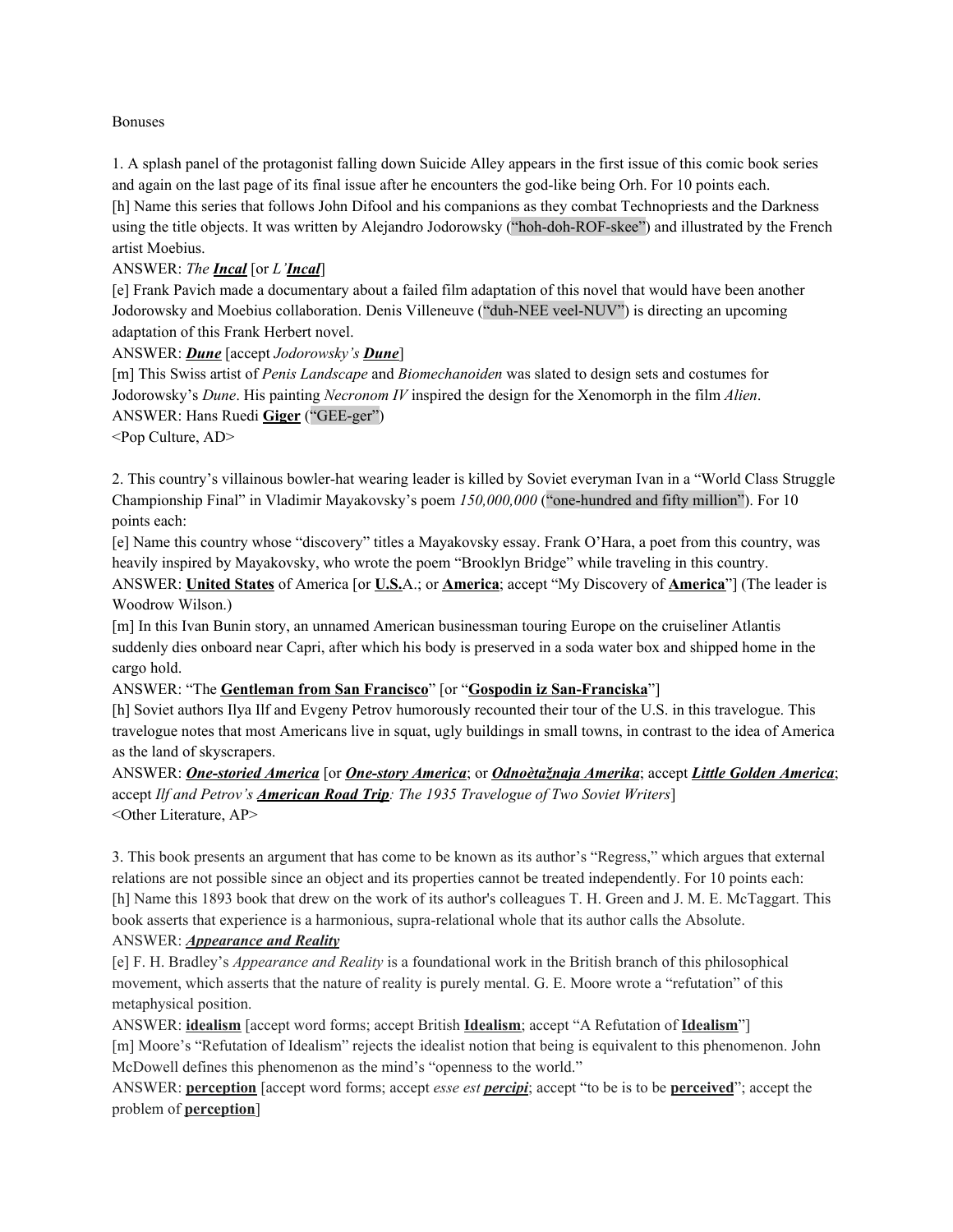#### Bonuses

1. A splash panel of the protagonist falling down Suicide Alley appears in the first issue of this comic book series and again on the last page of its final issue after he encounters the god-like being Orh. For 10 points each. [h] Name this series that follows John Difool and his companions as they combat Technopriests and the Darkness using the title objects. It was written by Alejandro Jodorowsky ("hoh-doh-ROF-skee") and illustrated by the French artist Moebius.

#### ANSWER: *The Incal* [or *L'Incal*]

[e] Frank Pavich made a documentary about a failed film adaptation of this novel that would have been another Jodorowsky and Moebius collaboration. Denis Villeneuve ("duh-NEE veel-NUV") is directing an upcoming adaptation of this Frank Herbert novel.

ANSWER: *Dune* [accept *Jodorowsky's Dune*]

[m] This Swiss artist of *Penis Landscape* and *Biomechanoiden* was slated to design sets and costumes for Jodorowsky's *Dune*. His painting *Necronom IV* inspired the design for the Xenomorph in the film *Alien*. ANSWER: Hans Ruedi **Giger** ("GEE-ger")

<Pop Culture, AD>

2. This country's villainous bowler-hat wearing leader is killed by Soviet everyman Ivan in a "World Class Struggle Championship Final" in Vladimir Mayakovsky's poem *150,000,000* ("one-hundred and fifty million"). For 10 points each:

[e] Name this country whose "discovery" titles a Mayakovsky essay. Frank O'Hara, a poet from this country, was heavily inspired by Mayakovsky, who wrote the poem "Brooklyn Bridge" while traveling in this country. ANSWER: **United States** of America [or **U.S.**A.; or **America**; accept "My Discovery of **America**"] (The leader is Woodrow Wilson.)

[m] In this Ivan Bunin story, an unnamed American businessman touring Europe on the cruiseliner Atlantis suddenly dies onboard near Capri, after which his body is preserved in a soda water box and shipped home in the cargo hold.

#### ANSWER: "The **Gentleman from San Francisco**" [or "**Gospodin iz San-Franciska**"]

[h] Soviet authors Ilya Ilf and Evgeny Petrov humorously recounted their tour of the U.S. in this travelogue. This travelogue notes that most Americans live in squat, ugly buildings in small towns, in contrast to the idea of America as the land of skyscrapers.

ANSWER: *One-storied America* [or *One-story America*; or *Odnoètažnaja Amerika*; accept *Little Golden America*; accept *Ilf and Petrov's American Road Trip: The 1935 Travelogue of Two Soviet Writers*] <Other Literature, AP>

3. This book presents an argument that has come to be known as its author's "Regress," which argues that external relations are not possible since an object and its properties cannot be treated independently. For 10 points each: [h] Name this 1893 book that drew on the work of its author's colleagues T. H. Green and J. M. E. McTaggart. This book asserts that experience is a harmonious, supra-relational whole that its author calls the Absolute. ANSWER: *Appearance and Reality*

[e] F. H. Bradley's *Appearance and Reality* is a foundational work in the British branch of this philosophical movement, which asserts that the nature of reality is purely mental. G. E. Moore wrote a "refutation" of this metaphysical position.

ANSWER: **idealism** [accept word forms; accept British **Idealism**; accept "A Refutation of **Idealism**"] [m] Moore's "Refutation of Idealism" rejects the idealist notion that being is equivalent to this phenomenon. John McDowell defines this phenomenon as the mind's "openness to the world."

ANSWER: **perception** [accept word forms; accept *esse est percipi*; accept "to be is to be **perceived**"; accept the problem of **perception**]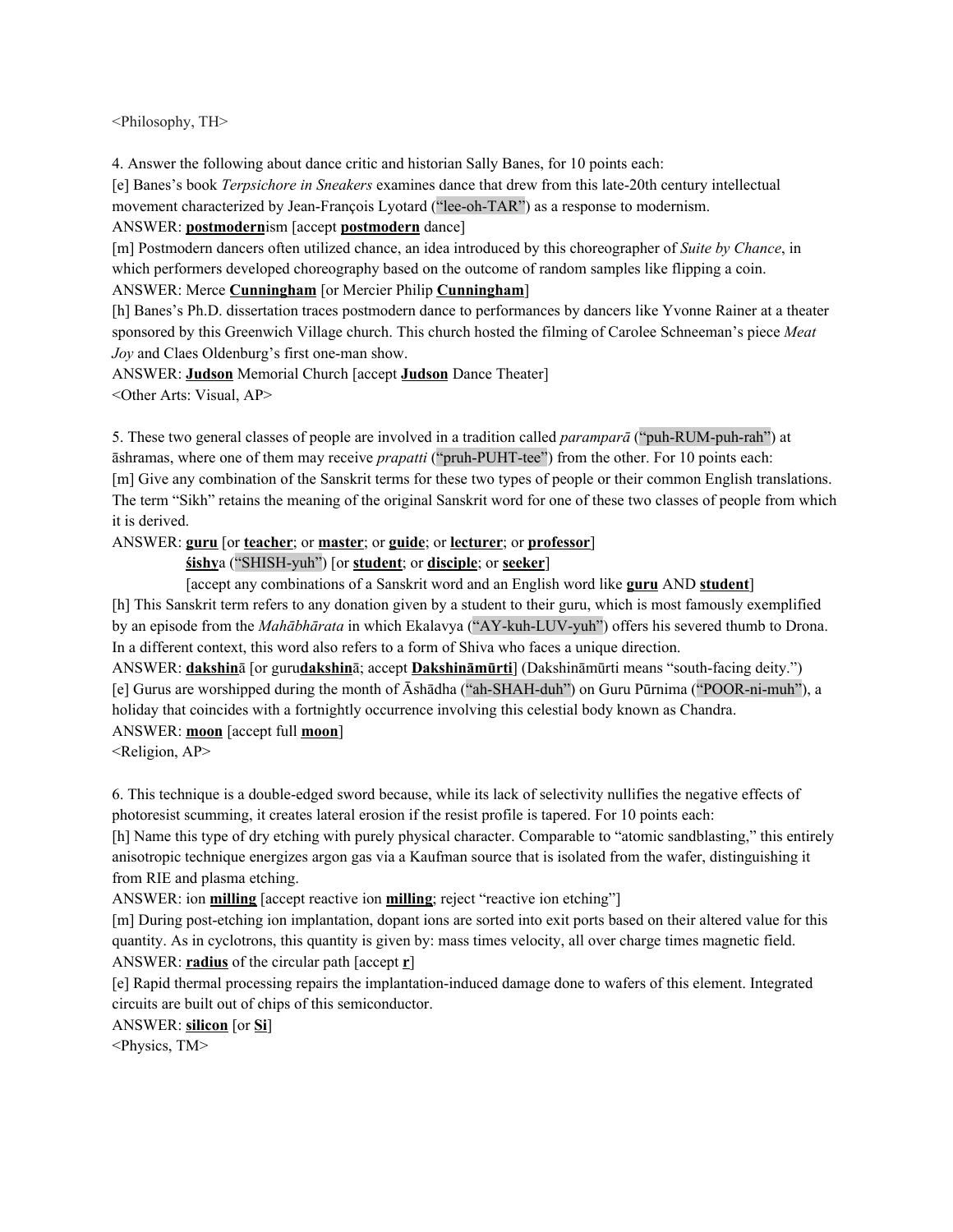<Philosophy, TH>

4. Answer the following about dance critic and historian Sally Banes, for 10 points each:

[e] Banes's book *Terpsichore in Sneakers* examines dance that drew from this late-20th century intellectual movement characterized by Jean-François Lyotard ("lee-oh-TAR") as a response to modernism.

ANSWER: **postmodern**ism [accept **postmodern** dance]

[m] Postmodern dancers often utilized chance, an idea introduced by this choreographer of *Suite by Chance*, in which performers developed choreography based on the outcome of random samples like flipping a coin.

ANSWER: Merce **Cunningham** [or Mercier Philip **Cunningham**]

[h] Banes's Ph.D. dissertation traces postmodern dance to performances by dancers like Yvonne Rainer at a theater sponsored by this Greenwich Village church. This church hosted the filming of Carolee Schneeman's piece *Meat Joy* and Claes Oldenburg's first one-man show.

ANSWER: **Judson** Memorial Church [accept **Judson** Dance Theater] <Other Arts: Visual, AP>

5. These two general classes of people are involved in a tradition called *paramparā* ("puh-RUM-puh-rah") at āshramas, where one of them may receive *prapatti* ("pruh-PUHT-tee") from the other. For 10 points each: [m] Give any combination of the Sanskrit terms for these two types of people or their common English translations. The term "Sikh" retains the meaning of the original Sanskrit word for one of these two classes of people from which it is derived.

ANSWER: **guru** [or **teacher**; or **master**; or **guide**; or **lecturer**; or **professor**]

**śishy**a ("SHISH-yuh") [or **student**; or **disciple**; or **seeker**]

[accept any combinations of a Sanskrit word and an English word like **guru** AND **student**]

[h] This Sanskrit term refers to any donation given by a student to their guru, which is most famously exemplified by an episode from the *Mahābhārata* in which Ekalavya ("AY-kuh-LUV-yuh") offers his severed thumb to Drona. In a different context, this word also refers to a form of Shiva who faces a unique direction.

ANSWER: **dakshin**ā [or guru**dakshin**ā; accept **Dakshināmūrti**] (Dakshināmūrti means "south-facing deity.") [e] Gurus are worshipped during the month of Āshādha ("ah-SHAH-duh") on Guru Pūrnima ("POOR-ni-muh"), a holiday that coincides with a fortnightly occurrence involving this celestial body known as Chandra. ANSWER: **moon** [accept full **moon**]

<Religion, AP>

6. This technique is a double-edged sword because, while its lack of selectivity nullifies the negative effects of photoresist scumming, it creates lateral erosion if the resist profile is tapered. For 10 points each:

[h] Name this type of dry etching with purely physical character. Comparable to "atomic sandblasting," this entirely anisotropic technique energizes argon gas via a Kaufman source that is isolated from the wafer, distinguishing it from RIE and plasma etching.

ANSWER: ion **milling** [accept reactive ion **milling**; reject "reactive ion etching"]

[m] During post-etching ion implantation, dopant ions are sorted into exit ports based on their altered value for this quantity. As in cyclotrons, this quantity is given by: mass times velocity, all over charge times magnetic field. ANSWER: **radius** of the circular path [accept **r**]

[e] Rapid thermal processing repairs the implantation-induced damage done to wafers of this element. Integrated circuits are built out of chips of this semiconductor.

ANSWER: **silicon** [or **Si**]

<Physics, TM>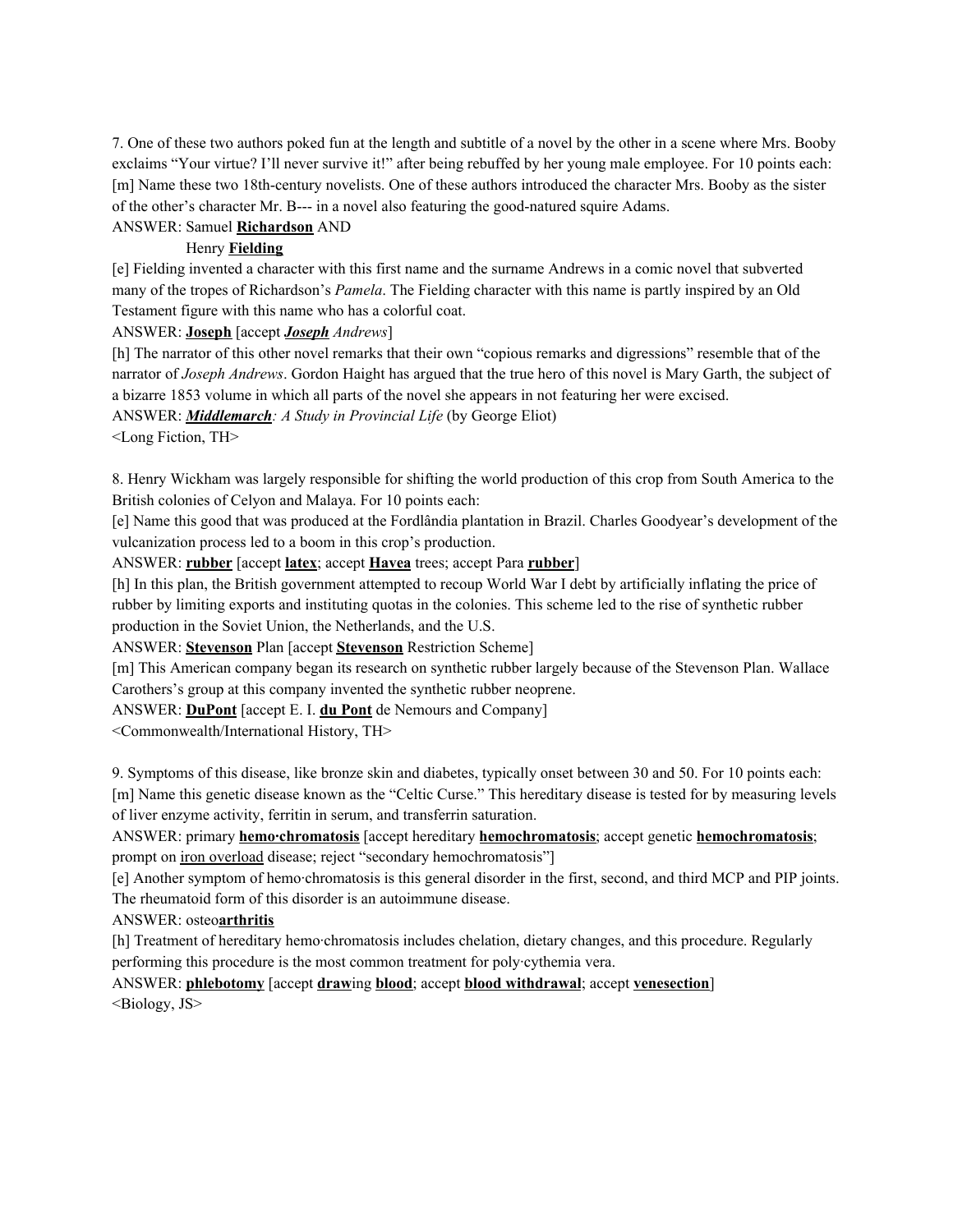7. One of these two authors poked fun at the length and subtitle of a novel by the other in a scene where Mrs. Booby exclaims "Your virtue? I'll never survive it!" after being rebuffed by her young male employee. For 10 points each: [m] Name these two 18th-century novelists. One of these authors introduced the character Mrs. Booby as the sister of the other's character Mr. B--- in a novel also featuring the good-natured squire Adams.

# ANSWER: Samuel **Richardson** AND

#### Henry **Fielding**

[e] Fielding invented a character with this first name and the surname Andrews in a comic novel that subverted many of the tropes of Richardson's *Pamela*. The Fielding character with this name is partly inspired by an Old Testament figure with this name who has a colorful coat.

#### ANSWER: **Joseph** [accept *Joseph Andrews*]

[h] The narrator of this other novel remarks that their own "copious remarks and digressions" resemble that of the narrator of *Joseph Andrews*. Gordon Haight has argued that the true hero of this novel is Mary Garth, the subject of a bizarre 1853 volume in which all parts of the novel she appears in not featuring her were excised.

ANSWER: *Middlemarch: A Study in Provincial Life* (by George Eliot)

<Long Fiction, TH>

8. Henry Wickham was largely responsible for shifting the world production of this crop from South America to the British colonies of Celyon and Malaya. For 10 points each:

[e] Name this good that was produced at the Fordlândia plantation in Brazil. Charles Goodyear's development of the vulcanization process led to a boom in this crop's production.

ANSWER: **rubber** [accept **latex**; accept **Havea** trees; accept Para **rubber**]

[h] In this plan, the British government attempted to recoup World War I debt by artificially inflating the price of rubber by limiting exports and instituting quotas in the colonies. This scheme led to the rise of synthetic rubber production in the Soviet Union, the Netherlands, and the U.S.

ANSWER: **Stevenson** Plan [accept **Stevenson** Restriction Scheme]

[m] This American company began its research on synthetic rubber largely because of the Stevenson Plan. Wallace Carothers's group at this company invented the synthetic rubber neoprene.

ANSWER: **DuPont** [accept E. I. **du Pont** de Nemours and Company]

<Commonwealth/International History, TH>

9. Symptoms of this disease, like bronze skin and diabetes, typically onset between 30 and 50. For 10 points each: [m] Name this genetic disease known as the "Celtic Curse." This hereditary disease is tested for by measuring levels of liver enzyme activity, ferritin in serum, and transferrin saturation.

ANSWER: primary **hemo·chromatosis** [accept hereditary **hemochromatosis**; accept genetic **hemochromatosis**; prompt on iron overload disease; reject "secondary hemochromatosis"]

[e] Another symptom of hemo·chromatosis is this general disorder in the first, second, and third MCP and PIP joints. The rheumatoid form of this disorder is an autoimmune disease.

### ANSWER: osteo**arthritis**

[h] Treatment of hereditary hemo·chromatosis includes chelation, dietary changes, and this procedure. Regularly performing this procedure is the most common treatment for poly·cythemia vera.

ANSWER: **phlebotomy** [accept **draw**ing **blood**; accept **blood withdrawal**; accept **venesection**] <Biology, JS>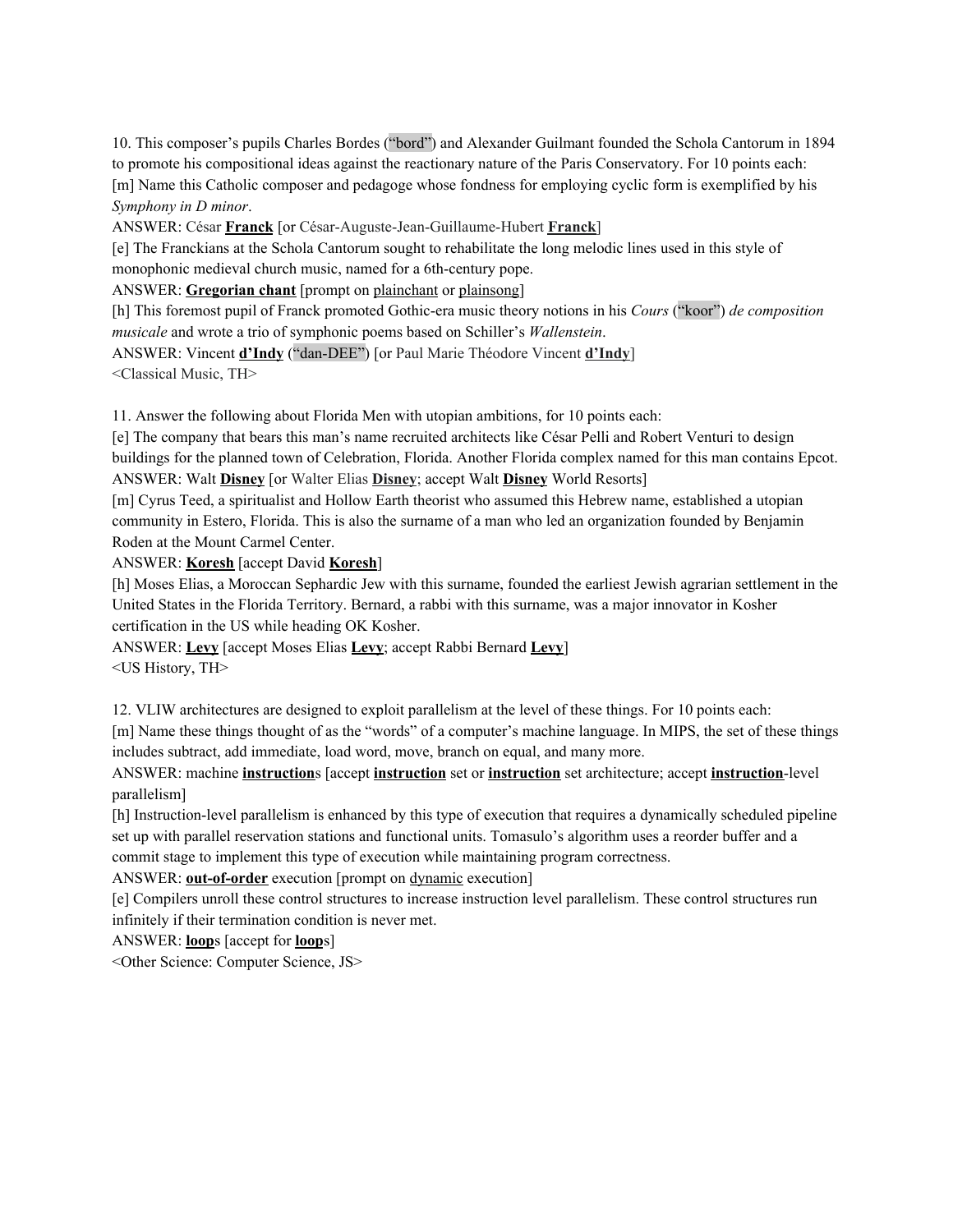10. This composer's pupils Charles Bordes ("bord") and Alexander Guilmant founded the Schola Cantorum in 1894 to promote his compositional ideas against the reactionary nature of the Paris Conservatory. For 10 points each: [m] Name this Catholic composer and pedagoge whose fondness for employing cyclic form is exemplified by his *Symphony in D minor*.

ANSWER: César **Franck** [or César-Auguste-Jean-Guillaume-Hubert **Franck**]

[e] The Franckians at the Schola Cantorum sought to rehabilitate the long melodic lines used in this style of monophonic medieval church music, named for a 6th-century pope.

ANSWER: **Gregorian chant** [prompt on plainchant or plainsong]

[h] This foremost pupil of Franck promoted Gothic-era music theory notions in his *Cours* ("koor") *de composition musicale* and wrote a trio of symphonic poems based on Schiller's *Wallenstein*.

ANSWER: Vincent **d'Indy** ("dan-DEE") [or Paul Marie Théodore Vincent **d'Indy**]

<Classical Music, TH>

11. Answer the following about Florida Men with utopian ambitions, for 10 points each:

[e] The company that bears this man's name recruited architects like César Pelli and Robert Venturi to design buildings for the planned town of Celebration, Florida. Another Florida complex named for this man contains Epcot. ANSWER: Walt **Disney** [or Walter Elias **Disney**; accept Walt **Disney** World Resorts]

[m] Cyrus Teed, a spiritualist and Hollow Earth theorist who assumed this Hebrew name, established a utopian community in Estero, Florida. This is also the surname of a man who led an organization founded by Benjamin Roden at the Mount Carmel Center.

ANSWER: **Koresh** [accept David **Koresh**]

[h] Moses Elias, a Moroccan Sephardic Jew with this surname, founded the earliest Jewish agrarian settlement in the United States in the Florida Territory. Bernard, a rabbi with this surname, was a major innovator in Kosher certification in the US while heading OK Kosher.

ANSWER: **Levy** [accept Moses Elias **Levy**; accept Rabbi Bernard **Levy**] <US History, TH>

12. VLIW architectures are designed to exploit parallelism at the level of these things. For 10 points each:

[m] Name these things thought of as the "words" of a computer's machine language. In MIPS, the set of these things includes subtract, add immediate, load word, move, branch on equal, and many more.

ANSWER: machine **instruction**s [accept **instruction** set or **instruction** set architecture; accept **instruction**-level parallelism]

[h] Instruction-level parallelism is enhanced by this type of execution that requires a dynamically scheduled pipeline set up with parallel reservation stations and functional units. Tomasulo's algorithm uses a reorder buffer and a commit stage to implement this type of execution while maintaining program correctness.

ANSWER: **out-of-order** execution [prompt on dynamic execution]

[e] Compilers unroll these control structures to increase instruction level parallelism. These control structures run infinitely if their termination condition is never met.

ANSWER: **loop**s [accept for **loop**s]

<Other Science: Computer Science, JS>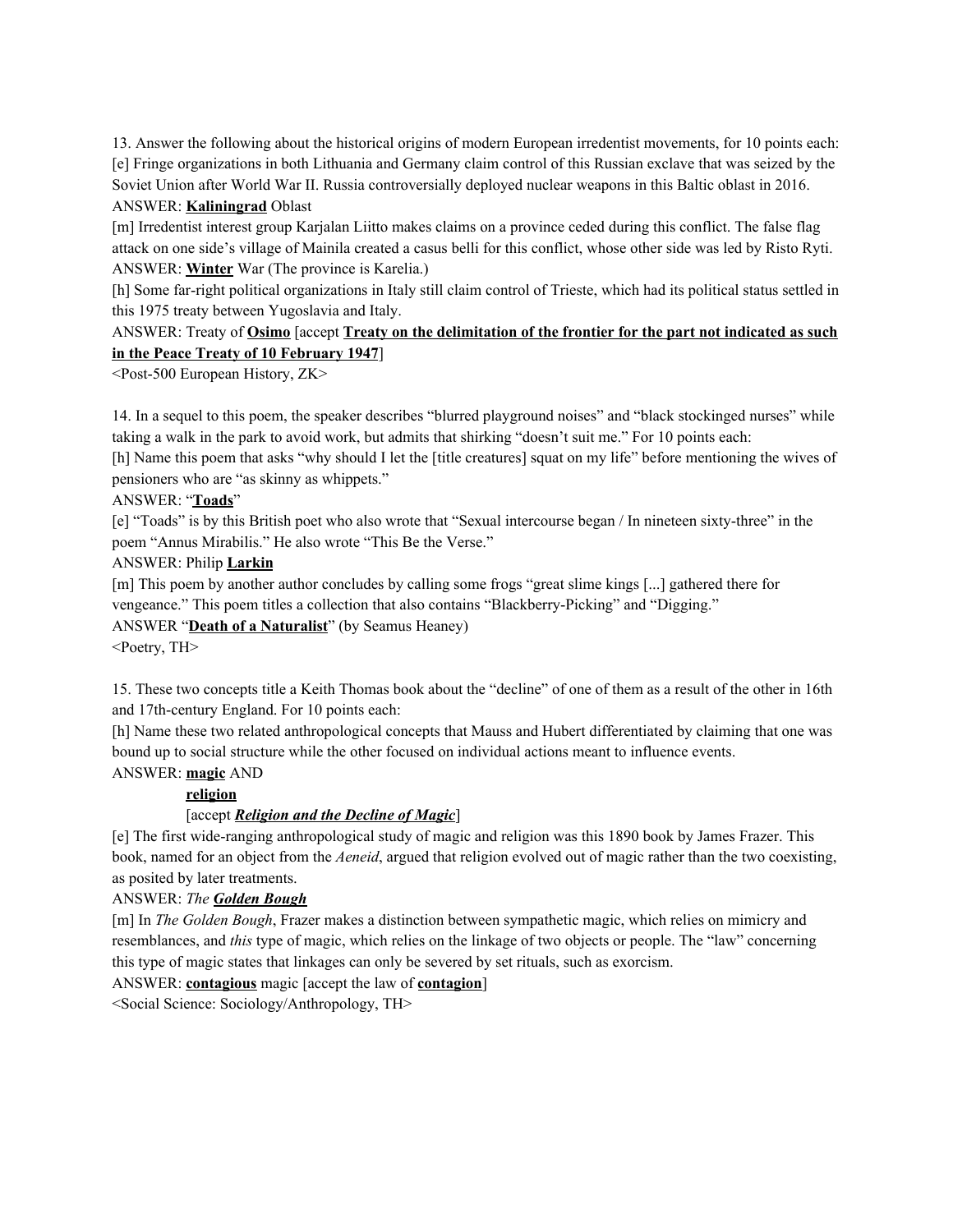13. Answer the following about the historical origins of modern European irredentist movements, for 10 points each: [e] Fringe organizations in both Lithuania and Germany claim control of this Russian exclave that was seized by the Soviet Union after World War II. Russia controversially deployed nuclear weapons in this Baltic oblast in 2016. ANSWER: **Kaliningrad** Oblast

[m] Irredentist interest group Karjalan Liitto makes claims on a province ceded during this conflict. The false flag attack on one side's village of Mainila created a casus belli for this conflict, whose other side was led by Risto Ryti. ANSWER: **Winter** War (The province is Karelia.)

[h] Some far-right political organizations in Italy still claim control of Trieste, which had its political status settled in this 1975 treaty between Yugoslavia and Italy.

# ANSWER: Treaty of **Osimo** [accept **Treaty on the delimitation of the frontier for the part not indicated as such in the Peace Treaty of 10 February 1947**]

<Post-500 European History, ZK>

14. In a sequel to this poem, the speaker describes "blurred playground noises" and "black stockinged nurses" while taking a walk in the park to avoid work, but admits that shirking "doesn't suit me." For 10 points each:

[h] Name this poem that asks "why should I let the [title creatures] squat on my life" before mentioning the wives of pensioners who are "as skinny as whippets."

### ANSWER: "**Toads**"

[e] "Toads" is by this British poet who also wrote that "Sexual intercourse began / In nineteen sixty-three" in the poem "Annus Mirabilis." He also wrote "This Be the Verse."

ANSWER: Philip **Larkin**

[m] This poem by another author concludes by calling some frogs "great slime kings [...] gathered there for vengeance." This poem titles a collection that also contains "Blackberry-Picking" and "Digging."

ANSWER "**Death of a Naturalist**" (by Seamus Heaney)

<Poetry, TH>

15. These two concepts title a Keith Thomas book about the "decline" of one of them as a result of the other in 16th and 17th-century England. For 10 points each:

[h] Name these two related anthropological concepts that Mauss and Hubert differentiated by claiming that one was bound up to social structure while the other focused on individual actions meant to influence events. ANSWER: **magic** AND

### **religion**

### [accept *Religion and the Decline of Magic*]

[e] The first wide-ranging anthropological study of magic and religion was this 1890 book by James Frazer. This book, named for an object from the *Aeneid*, argued that religion evolved out of magic rather than the two coexisting, as posited by later treatments.

### ANSWER: *The Golden Bough*

[m] In *The Golden Bough*, Frazer makes a distinction between sympathetic magic, which relies on mimicry and resemblances, and *this* type of magic, which relies on the linkage of two objects or people. The "law" concerning this type of magic states that linkages can only be severed by set rituals, such as exorcism.

## ANSWER: **contagious** magic [accept the law of **contagion**]

<Social Science: Sociology/Anthropology, TH>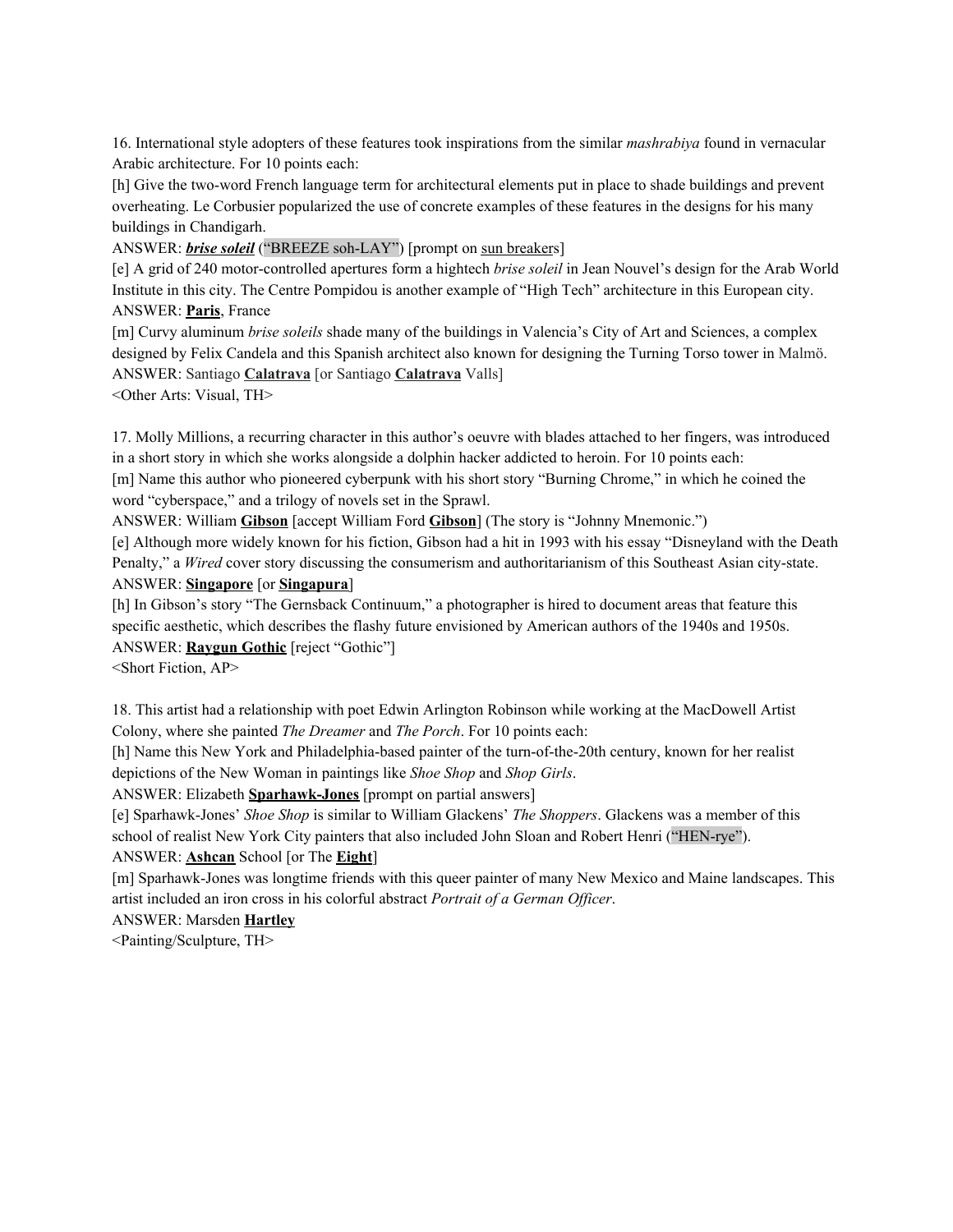16. International style adopters of these features took inspirations from the similar *mashrabiya* found in vernacular Arabic architecture. For 10 points each:

[h] Give the two-word French language term for architectural elements put in place to shade buildings and prevent overheating. Le Corbusier popularized the use of concrete examples of these features in the designs for his many buildings in Chandigarh.

ANSWER: *brise soleil* ("BREEZE soh-LAY") [prompt on sun breakers]

[e] A grid of 240 motor-controlled apertures form a hightech *brise soleil* in Jean Nouvel's design for the Arab World Institute in this city. The Centre Pompidou is another example of "High Tech" architecture in this European city. ANSWER: **Paris**, France

[m] Curvy aluminum *brise soleils* shade many of the buildings in Valencia's City of Art and Sciences, a complex designed by Felix Candela and this Spanish architect also known for designing the Turning Torso tower in Malmö. ANSWER: Santiago **Calatrava** [or Santiago **Calatrava** Valls]

<Other Arts: Visual, TH>

17. Molly Millions, a recurring character in this author's oeuvre with blades attached to her fingers, was introduced in a short story in which she works alongside a dolphin hacker addicted to heroin. For 10 points each: [m] Name this author who pioneered cyberpunk with his short story "Burning Chrome," in which he coined the

word "cyberspace," and a trilogy of novels set in the Sprawl.

ANSWER: William **Gibson** [accept William Ford **Gibson**] (The story is "Johnny Mnemonic.")

[e] Although more widely known for his fiction, Gibson had a hit in 1993 with his essay "Disneyland with the Death Penalty," a *Wired* cover story discussing the consumerism and authoritarianism of this Southeast Asian city-state. ANSWER: **Singapore** [or **Singapura**]

[h] In Gibson's story "The Gernsback Continuum," a photographer is hired to document areas that feature this specific aesthetic, which describes the flashy future envisioned by American authors of the 1940s and 1950s. ANSWER: **Raygun Gothic** [reject "Gothic"]

<Short Fiction, AP>

18. This artist had a relationship with poet Edwin Arlington Robinson while working at the MacDowell Artist Colony, where she painted *The Dreamer* and *The Porch*. For 10 points each:

[h] Name this New York and Philadelphia-based painter of the turn-of-the-20th century, known for her realist depictions of the New Woman in paintings like *Shoe Shop* and *Shop Girls*.

ANSWER: Elizabeth **Sparhawk-Jones** [prompt on partial answers]

[e] Sparhawk-Jones' *Shoe Shop* is similar to William Glackens' *The Shoppers*. Glackens was a member of this school of realist New York City painters that also included John Sloan and Robert Henri ("HEN-rye").

ANSWER: **Ashcan** School [or The **Eight**]

[m] Sparhawk-Jones was longtime friends with this queer painter of many New Mexico and Maine landscapes. This artist included an iron cross in his colorful abstract *Portrait of a German Of icer*.

ANSWER: Marsden **Hartley**

<Painting/Sculpture, TH>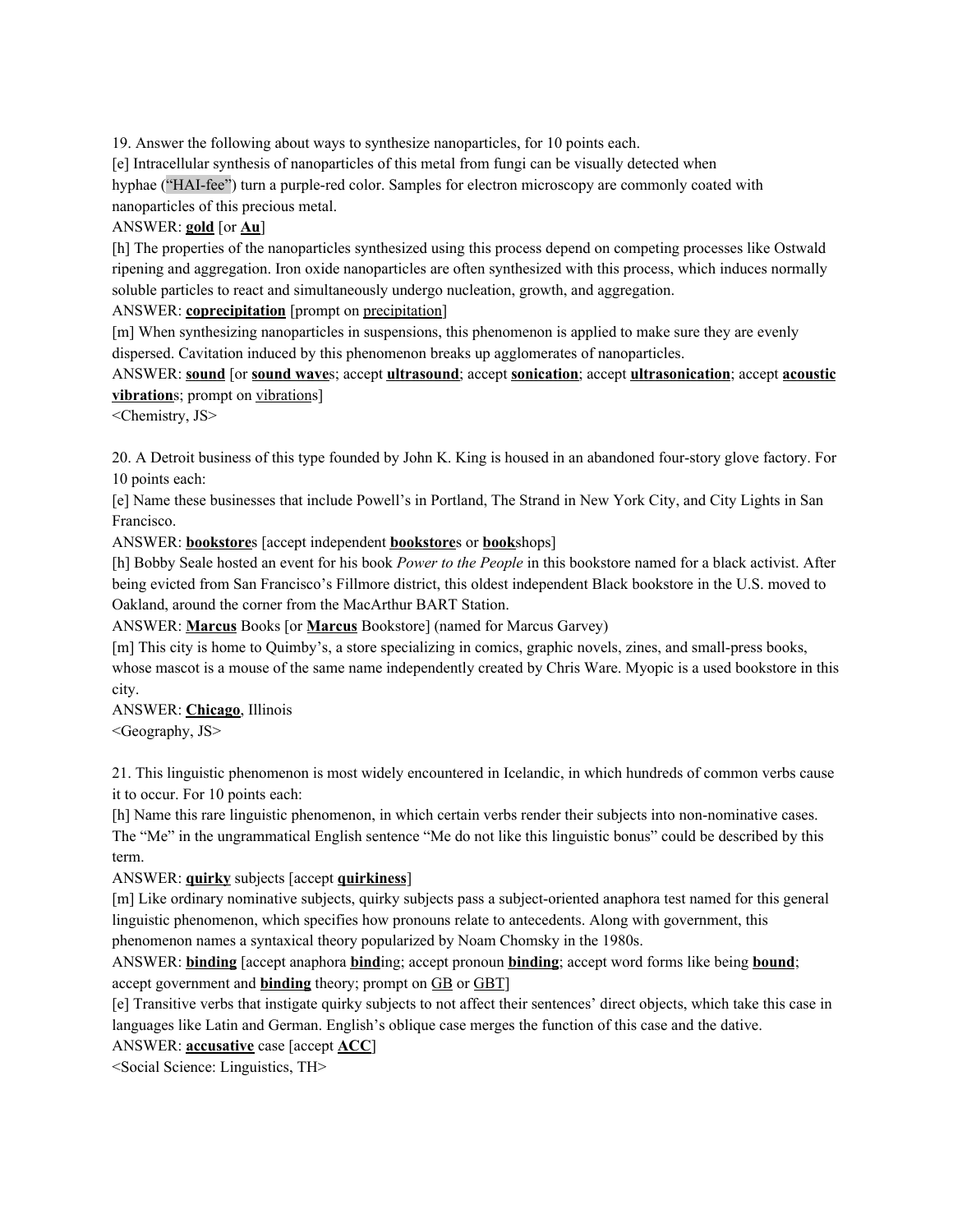19. Answer the following about ways to synthesize nanoparticles, for 10 points each.

[e] Intracellular synthesis of nanoparticles of this metal from fungi can be visually detected when

hyphae ("HAI-fee") turn a purple-red color. Samples for electron microscopy are commonly coated with nanoparticles of this precious metal.

# ANSWER: **gold** [or **Au**]

[h] The properties of the nanoparticles synthesized using this process depend on competing processes like Ostwald ripening and aggregation. Iron oxide nanoparticles are often synthesized with this process, which induces normally soluble particles to react and simultaneously undergo nucleation, growth, and aggregation.

ANSWER: **coprecipitation** [prompt on precipitation]

[m] When synthesizing nanoparticles in suspensions, this phenomenon is applied to make sure they are evenly dispersed. Cavitation induced by this phenomenon breaks up agglomerates of nanoparticles.

ANSWER: **sound** [or **sound wave**s; accept **ultrasound**; accept **sonication**; accept **ultrasonication**; accept **acoustic vibration**s; prompt on vibrations]

<Chemistry, JS>

20. A Detroit business of this type founded by John K. King is housed in an abandoned four-story glove factory. For 10 points each:

[e] Name these businesses that include Powell's in Portland, The Strand in New York City, and City Lights in San Francisco.

ANSWER: **bookstore**s [accept independent **bookstore**s or **book**shops]

[h] Bobby Seale hosted an event for his book *Power to the People* in this bookstore named for a black activist. After being evicted from San Francisco's Fillmore district, this oldest independent Black bookstore in the U.S. moved to Oakland, around the corner from the MacArthur BART Station.

ANSWER: **Marcus** Books [or **Marcus** Bookstore] (named for Marcus Garvey)

[m] This city is home to Quimby's, a store specializing in comics, graphic novels, zines, and small-press books, whose mascot is a mouse of the same name independently created by Chris Ware. Myopic is a used bookstore in this city.

ANSWER: **Chicago**, Illinois <Geography, JS>

21. This linguistic phenomenon is most widely encountered in Icelandic, in which hundreds of common verbs cause it to occur. For 10 points each:

[h] Name this rare linguistic phenomenon, in which certain verbs render their subjects into non-nominative cases. The "Me" in the ungrammatical English sentence "Me do not like this linguistic bonus" could be described by this term.

ANSWER: **quirky** subjects [accept **quirkiness**]

[m] Like ordinary nominative subjects, quirky subjects pass a subject-oriented anaphora test named for this general linguistic phenomenon, which specifies how pronouns relate to antecedents. Along with government, this phenomenon names a syntaxical theory popularized by Noam Chomsky in the 1980s.

ANSWER: **binding** [accept anaphora **bind**ing; accept pronoun **binding**; accept word forms like being **bound**; accept government and **binding** theory; prompt on GB or GBT]

[e] Transitive verbs that instigate quirky subjects to not affect their sentences' direct objects, which take this case in languages like Latin and German. English's oblique case merges the function of this case and the dative.

ANSWER: **accusative** case [accept **ACC**]

<Social Science: Linguistics, TH>